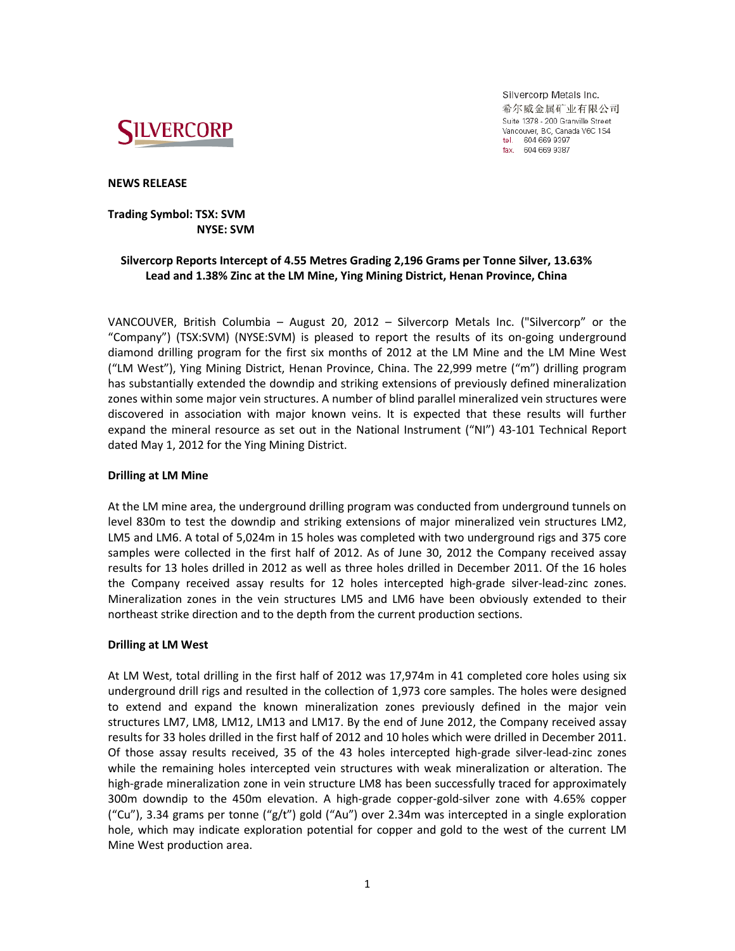

Silvercorp Metals Inc. 希尔威金属矿业有限公司 Suite 1378 - 200 Granville Street Vancouver, BC, Canada V6C 1S4 tel. 604 669 9397<br>fax. 604 669 9397

**NEWS RELEASE**

## **Trading Symbol: TSX: SVM NYSE: SVM**

# **Silvercorp Reports Intercept of 4.55 Metres Grading 2,196 Grams per Tonne Silver, 13.63% Lead and 1.38% Zinc at the LM Mine, Ying Mining District, Henan Province, China**

VANCOUVER, British Columbia – August 20, 2012 – Silvercorp Metals Inc. ("Silvercorp" or the "Company") (TSX:SVM) (NYSE:SVM) is pleased to report the results of its on-going underground diamond drilling program for the first six months of 2012 at the LM Mine and the LM Mine West ("LM West"), Ying Mining District, Henan Province, China. The 22,999 metre ("m") drilling program has substantially extended the downdip and striking extensions of previously defined mineralization zones within some major vein structures. A number of blind parallel mineralized vein structures were discovered in association with major known veins. It is expected that these results will further expand the mineral resource as set out in the National Instrument ("NI") 43-101 Technical Report dated May 1, 2012 for the Ying Mining District.

## **Drilling at LM Mine**

At the LM mine area, the underground drilling program was conducted from underground tunnels on level 830m to test the downdip and striking extensions of major mineralized vein structures LM2, LM5 and LM6. A total of 5,024m in 15 holes was completed with two underground rigs and 375 core samples were collected in the first half of 2012. As of June 30, 2012 the Company received assay results for 13 holes drilled in 2012 as well as three holes drilled in December 2011. Of the 16 holes the Company received assay results for 12 holes intercepted high-grade silver-lead-zinc zones. Mineralization zones in the vein structures LM5 and LM6 have been obviously extended to their northeast strike direction and to the depth from the current production sections.

#### **Drilling at LM West**

At LM West, total drilling in the first half of 2012 was 17,974m in 41 completed core holes using six underground drill rigs and resulted in the collection of 1,973 core samples. The holes were designed to extend and expand the known mineralization zones previously defined in the major vein structures LM7, LM8, LM12, LM13 and LM17. By the end of June 2012, the Company received assay results for 33 holes drilled in the first half of 2012 and 10 holes which were drilled in December 2011. Of those assay results received, 35 of the 43 holes intercepted high-grade silver-lead-zinc zones while the remaining holes intercepted vein structures with weak mineralization or alteration. The high-grade mineralization zone in vein structure LM8 has been successfully traced for approximately 300m downdip to the 450m elevation. A high-grade copper-gold-silver zone with 4.65% copper ("Cu"), 3.34 grams per tonne ("g/t") gold ("Au") over 2.34m was intercepted in a single exploration hole, which may indicate exploration potential for copper and gold to the west of the current LM Mine West production area.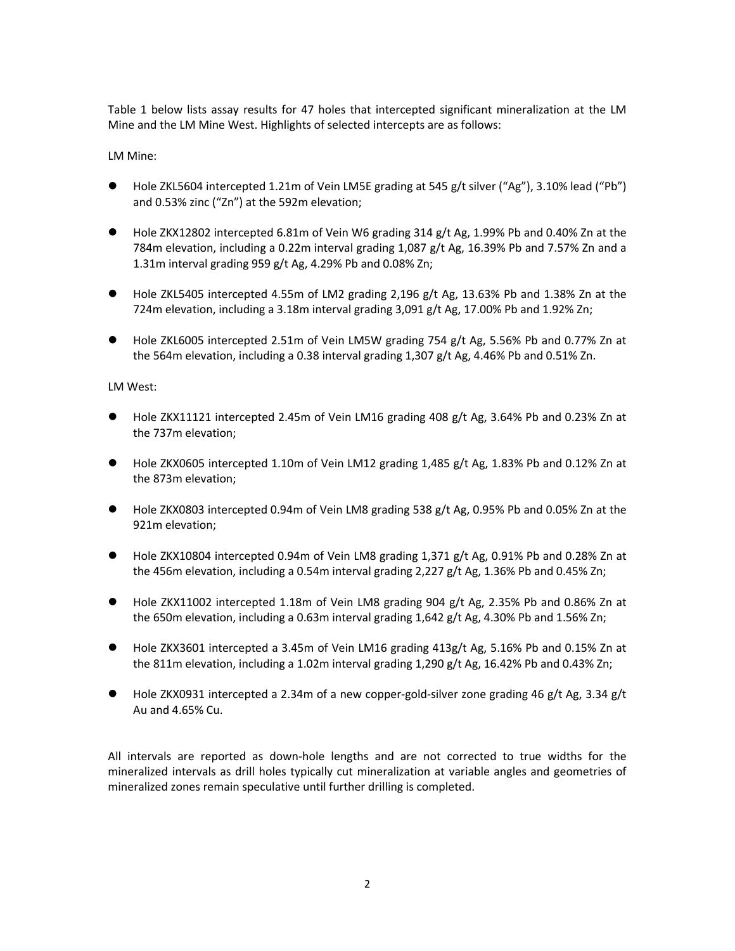Table 1 below lists assay results for 47 holes that intercepted significant mineralization at the LM Mine and the LM Mine West. Highlights of selected intercepts are as follows:

LM Mine:

- Hole ZKL5604 intercepted 1.21m of Vein LM5E grading at 545 g/t silver ("Ag"), 3.10% lead ("Pb") and 0.53% zinc ("Zn") at the 592m elevation;
- Hole ZKX12802 intercepted 6.81m of Vein W6 grading 314 g/t Ag, 1.99% Pb and 0.40% Zn at the 784m elevation, including a 0.22m interval grading 1,087 g/t Ag, 16.39% Pb and 7.57% Zn and a 1.31m interval grading 959 g/t Ag, 4.29% Pb and 0.08% Zn;
- Hole ZKL5405 intercepted 4.55m of LM2 grading 2,196 g/t Ag, 13.63% Pb and 1.38% Zn at the 724m elevation, including a 3.18m interval grading 3,091 g/t Ag, 17.00% Pb and 1.92% Zn;
- Hole ZKL6005 intercepted 2.51m of Vein LM5W grading 754 g/t Ag, 5.56% Pb and 0.77% Zn at the 564m elevation, including a 0.38 interval grading 1,307 g/t Ag, 4.46% Pb and 0.51% Zn.

LM West:

- Hole ZKX11121 intercepted 2.45m of Vein LM16 grading 408 g/t Ag, 3.64% Pb and 0.23% Zn at the 737m elevation;
- Hole ZKX0605 intercepted 1.10m of Vein LM12 grading 1,485 g/t Ag, 1.83% Pb and 0.12% Zn at the 873m elevation;
- Hole ZKX0803 intercepted 0.94m of Vein LM8 grading 538 g/t Ag, 0.95% Pb and 0.05% Zn at the 921m elevation;
- Hole ZKX10804 intercepted 0.94m of Vein LM8 grading 1,371 g/t Ag, 0.91% Pb and 0.28% Zn at the 456m elevation, including a 0.54m interval grading 2,227 g/t Ag, 1.36% Pb and 0.45% Zn;
- Hole ZKX11002 intercepted 1.18m of Vein LM8 grading 904 g/t Ag, 2.35% Pb and 0.86% Zn at the 650m elevation, including a 0.63m interval grading 1,642 g/t Ag, 4.30% Pb and 1.56% Zn;
- Hole ZKX3601 intercepted a 3.45m of Vein LM16 grading 413g/t Ag, 5.16% Pb and 0.15% Zn at the 811m elevation, including a 1.02m interval grading 1,290 g/t Ag, 16.42% Pb and 0.43% Zn;
- Hole ZKX0931 intercepted a 2.34m of a new copper-gold-silver zone grading 46 g/t Ag, 3.34 g/t Au and 4.65% Cu.

All intervals are reported as down-hole lengths and are not corrected to true widths for the mineralized intervals as drill holes typically cut mineralization at variable angles and geometries of mineralized zones remain speculative until further drilling is completed.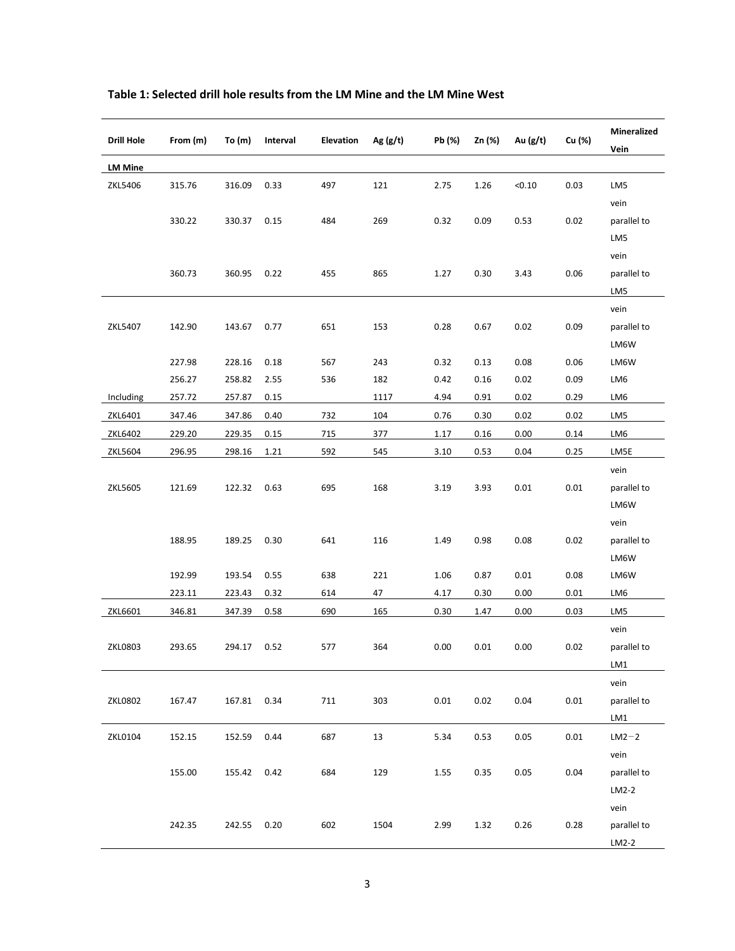| <b>Drill Hole</b> | From (m) | To $(m)$ | Interval | Elevation | Ag $(g/t)$ | Pb (%) | Zn (%) | Au (g/t) | Cu (%) | Mineralized<br>Vein |
|-------------------|----------|----------|----------|-----------|------------|--------|--------|----------|--------|---------------------|
| <b>LM Mine</b>    |          |          |          |           |            |        |        |          |        |                     |
| ZKL5406           | 315.76   | 316.09   | 0.33     | 497       | 121        | 2.75   | 1.26   | < 0.10   | 0.03   | LM5                 |
|                   |          |          |          |           |            |        |        |          |        | vein                |
|                   | 330.22   | 330.37   | 0.15     | 484       | 269        | 0.32   | 0.09   | 0.53     | 0.02   | parallel to         |
|                   |          |          |          |           |            |        |        |          |        | LM <sub>5</sub>     |
|                   |          |          |          |           |            |        |        |          |        | vein                |
|                   | 360.73   | 360.95   | 0.22     | 455       | 865        | 1.27   | 0.30   | 3.43     | 0.06   | parallel to         |
|                   |          |          |          |           |            |        |        |          |        | LM5                 |
|                   |          |          |          |           |            |        |        |          |        | vein                |
| <b>ZKL5407</b>    | 142.90   | 143.67   | 0.77     | 651       | 153        | 0.28   | 0.67   | 0.02     | 0.09   | parallel to         |
|                   |          |          |          |           |            |        |        |          |        | LM6W                |
|                   | 227.98   | 228.16   | 0.18     | 567       | 243        | 0.32   | 0.13   | 0.08     | 0.06   | LM6W                |
|                   | 256.27   | 258.82   | 2.55     | 536       | 182        | 0.42   | 0.16   | 0.02     | 0.09   | LM6                 |
| Including         | 257.72   | 257.87   | 0.15     |           | 1117       | 4.94   | 0.91   | 0.02     | 0.29   | LM6                 |
| ZKL6401           | 347.46   | 347.86   | 0.40     | 732       | 104        | 0.76   | 0.30   | 0.02     | 0.02   | LM5                 |
| <b>ZKL6402</b>    | 229.20   | 229.35   | 0.15     | 715       | 377        | 1.17   | 0.16   | 0.00     | 0.14   | LM6                 |
| <b>ZKL5604</b>    | 296.95   | 298.16   | 1.21     | 592       | 545        | 3.10   | 0.53   | 0.04     | 0.25   | LM5E                |
|                   |          |          |          |           |            |        |        |          |        | vein                |
| <b>ZKL5605</b>    | 121.69   | 122.32   | 0.63     | 695       | 168        | 3.19   | 3.93   | 0.01     | 0.01   | parallel to         |
|                   |          |          |          |           |            |        |        |          |        | LM6W                |
|                   |          |          |          |           |            |        |        |          |        | vein                |
|                   | 188.95   | 189.25   | 0.30     | 641       | 116        | 1.49   | 0.98   | 0.08     | 0.02   | parallel to         |
|                   |          |          |          |           |            |        |        |          |        | LM6W                |
|                   | 192.99   | 193.54   | 0.55     | 638       | 221        | 1.06   | 0.87   | 0.01     | 0.08   | LM6W                |
|                   | 223.11   | 223.43   | 0.32     | 614       | 47         | 4.17   | 0.30   | 0.00     | 0.01   | LM6                 |
| ZKL6601           | 346.81   | 347.39   | 0.58     | 690       | 165        | 0.30   | 1.47   | 0.00     | 0.03   | LM5                 |
|                   |          |          |          |           |            |        |        |          |        | vein                |
| <b>ZKL0803</b>    | 293.65   | 294.17   | 0.52     | 577       | 364        | 0.00   | 0.01   | 0.00     | 0.02   | parallel to         |
|                   |          |          |          |           |            |        |        |          |        | LM1                 |
|                   |          |          |          |           |            |        |        |          |        | vein                |
| <b>ZKL0802</b>    | 167.47   | 167.81   | 0.34     | 711       | 303        | 0.01   | 0.02   | 0.04     | 0.01   | parallel to         |
|                   |          |          |          |           |            |        |        |          |        | LM1                 |
| ZKL0104           | 152.15   | 152.59   | 0.44     | 687       | 13         | 5.34   | 0.53   | 0.05     | 0.01   | $LM2-2$             |
|                   |          |          |          |           |            |        |        |          |        | vein                |
|                   | 155.00   | 155.42   | 0.42     | 684       | 129        | 1.55   | 0.35   | 0.05     | 0.04   | parallel to         |
|                   |          |          |          |           |            |        |        |          |        | LM2-2               |
|                   |          |          |          |           |            |        |        |          |        | vein                |
|                   | 242.35   | 242.55   | 0.20     | 602       | 1504       | 2.99   | 1.32   | 0.26     | 0.28   | parallel to         |
|                   |          |          |          |           |            |        |        |          |        | LM2-2               |

## **Table 1: Selected drill hole results from the LM Mine and the LM Mine West**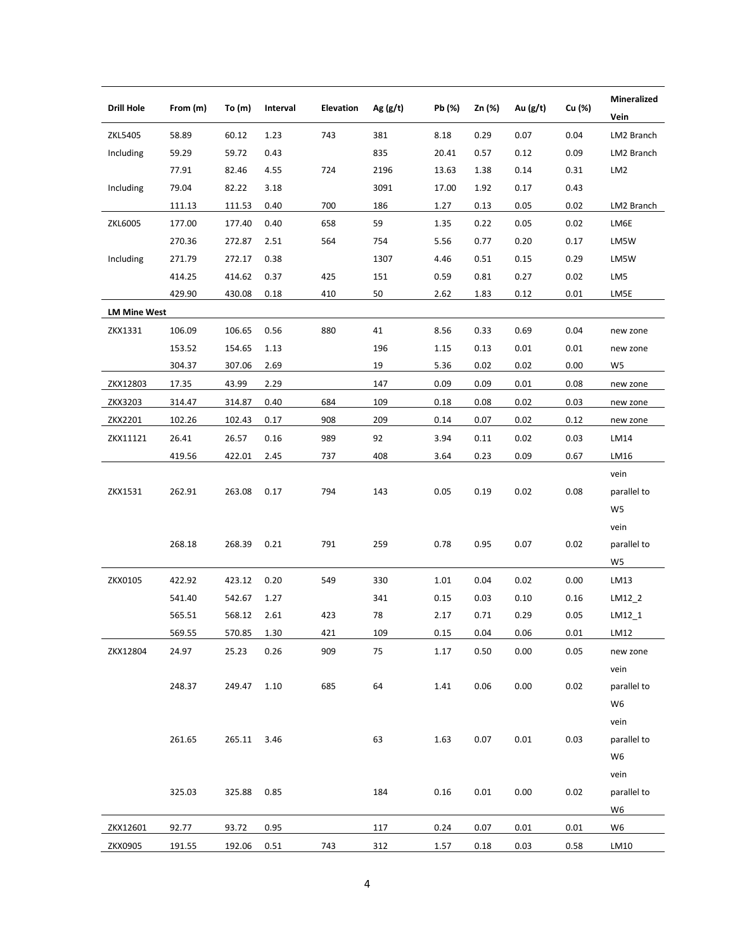| <b>Drill Hole</b>   | From (m) | To $(m)$ | Interval | Elevation | Ag $(g/t)$ | Pb (%) | Zn (%) | Au (g/t) | Cu (%) | Mineralized<br>Vein |
|---------------------|----------|----------|----------|-----------|------------|--------|--------|----------|--------|---------------------|
| <b>ZKL5405</b>      | 58.89    | 60.12    | 1.23     | 743       | 381        | 8.18   | 0.29   | 0.07     | 0.04   | LM2 Branch          |
| Including           | 59.29    | 59.72    | 0.43     |           | 835        | 20.41  | 0.57   | 0.12     | 0.09   | LM2 Branch          |
|                     | 77.91    | 82.46    | 4.55     | 724       | 2196       | 13.63  | 1.38   | 0.14     | 0.31   | LM <sub>2</sub>     |
| Including           | 79.04    | 82.22    | 3.18     |           | 3091       | 17.00  | 1.92   | 0.17     | 0.43   |                     |
|                     | 111.13   | 111.53   | 0.40     | 700       | 186        | 1.27   | 0.13   | 0.05     | 0.02   | LM2 Branch          |
| <b>ZKL6005</b>      | 177.00   | 177.40   | 0.40     | 658       | 59         | 1.35   | 0.22   | 0.05     | 0.02   | LM6E                |
|                     | 270.36   | 272.87   | 2.51     | 564       | 754        | 5.56   | 0.77   | 0.20     | 0.17   | LM5W                |
| Including           | 271.79   | 272.17   | 0.38     |           | 1307       | 4.46   | 0.51   | 0.15     | 0.29   | LM5W                |
|                     | 414.25   | 414.62   | 0.37     | 425       | 151        | 0.59   | 0.81   | 0.27     | 0.02   | LM5                 |
|                     | 429.90   | 430.08   | 0.18     | 410       | 50         | 2.62   | 1.83   | 0.12     | 0.01   | LM5E                |
| <b>LM Mine West</b> |          |          |          |           |            |        |        |          |        |                     |
| ZKX1331             | 106.09   | 106.65   | 0.56     | 880       | 41         | 8.56   | 0.33   | 0.69     | 0.04   | new zone            |
|                     | 153.52   | 154.65   | 1.13     |           | 196        | 1.15   | 0.13   | 0.01     | 0.01   | new zone            |
|                     | 304.37   | 307.06   | 2.69     |           | 19         | 5.36   | 0.02   | 0.02     | 0.00   | W5                  |
| ZKX12803            | 17.35    | 43.99    | 2.29     |           | 147        | 0.09   | 0.09   | 0.01     | 0.08   | new zone            |
| ZKX3203             | 314.47   | 314.87   | 0.40     | 684       | 109        | 0.18   | 0.08   | 0.02     | 0.03   | new zone            |
| ZKX2201             | 102.26   | 102.43   | 0.17     | 908       | 209        | 0.14   | 0.07   | 0.02     | 0.12   | new zone            |
| ZKX11121            | 26.41    | 26.57    | 0.16     | 989       | 92         | 3.94   | 0.11   | 0.02     | 0.03   | LM14                |
|                     | 419.56   | 422.01   | 2.45     | 737       | 408        | 3.64   | 0.23   | 0.09     | 0.67   | LM16                |
|                     |          |          |          |           |            |        |        |          |        | vein                |
| ZKX1531             | 262.91   | 263.08   | 0.17     | 794       | 143        | 0.05   | 0.19   | 0.02     | 0.08   | parallel to         |
|                     |          |          |          |           |            |        |        |          |        | W5                  |
|                     |          |          |          |           |            |        |        |          |        | vein                |
|                     | 268.18   | 268.39   | 0.21     | 791       | 259        | 0.78   | 0.95   | 0.07     | 0.02   | parallel to         |
|                     |          |          |          |           |            |        |        |          |        | W <sub>5</sub>      |
| ZKX0105             | 422.92   | 423.12   | 0.20     | 549       | 330        | 1.01   | 0.04   | 0.02     | 0.00   | LM13                |
|                     | 541.40   | 542.67   | 1.27     |           | 341        | 0.15   | 0.03   | 0.10     | 0.16   | LM12_2              |
|                     | 565.51   | 568.12   | 2.61     | 423       | 78         | 2.17   | 0.71   | 0.29     | 0.05   | LM12_1              |
|                     | 569.55   | 570.85   | 1.30     | 421       | 109        | 0.15   | 0.04   | 0.06     | 0.01   | LM12                |
| ZKX12804            | 24.97    | 25.23    | 0.26     | 909       | 75         | 1.17   | 0.50   | 0.00     | 0.05   | new zone            |
|                     |          |          |          |           |            |        |        |          |        | vein                |
|                     | 248.37   | 249.47   | 1.10     | 685       | 64         | 1.41   | 0.06   | 0.00     | 0.02   | parallel to         |
|                     |          |          |          |           |            |        |        |          |        | W6                  |
|                     |          |          |          |           |            |        |        |          |        | vein                |
|                     | 261.65   | 265.11   | 3.46     |           | 63         | 1.63   | 0.07   | $0.01\,$ | 0.03   | parallel to         |
|                     |          |          |          |           |            |        |        |          |        | W6                  |
|                     |          |          |          |           |            |        |        |          |        | vein                |
|                     | 325.03   | 325.88   | 0.85     |           | 184        | 0.16   | 0.01   | 0.00     | 0.02   | parallel to         |
|                     |          |          |          |           |            |        |        |          |        | W6                  |
| ZKX12601            | 92.77    | 93.72    | 0.95     |           | 117        | 0.24   | 0.07   | 0.01     | 0.01   | W6                  |
| ZKX0905             | 191.55   | 192.06   | 0.51     | 743       | 312        | 1.57   | 0.18   | 0.03     | 0.58   | LM10                |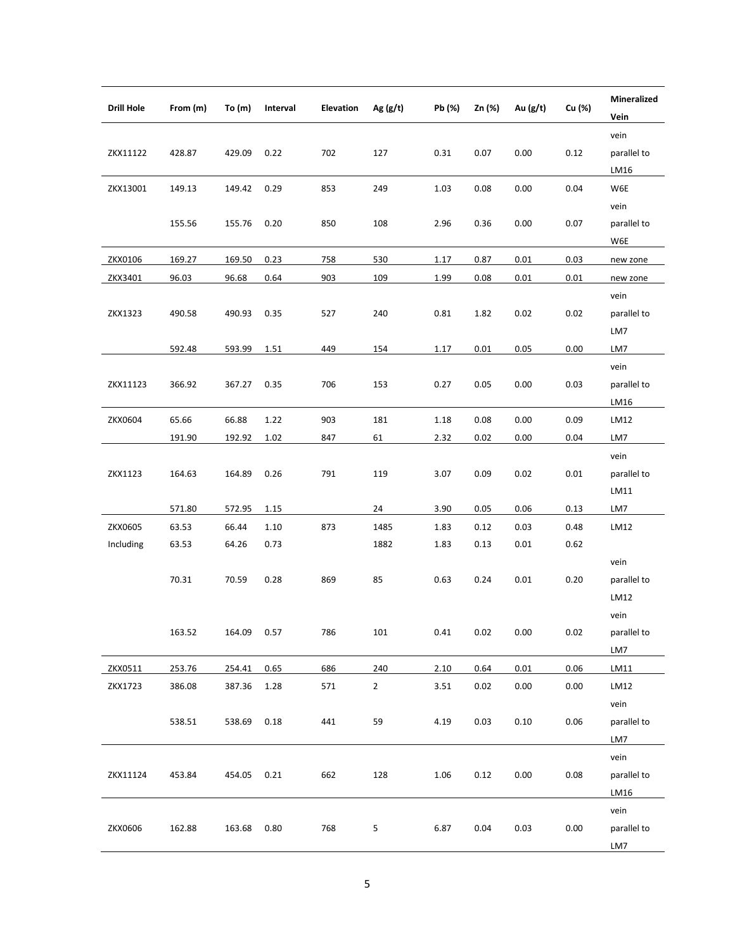| <b>Drill Hole</b> | From (m) | To $(m)$ | Interval | Elevation | Ag $(g/t)$     | Pb (%) | Zn (%) | Au (g/t) | Cu (%) | Mineralized<br>Vein |
|-------------------|----------|----------|----------|-----------|----------------|--------|--------|----------|--------|---------------------|
|                   |          |          |          |           |                |        |        |          |        | vein                |
| ZKX11122          | 428.87   | 429.09   | 0.22     | 702       | 127            | 0.31   | 0.07   | 0.00     | 0.12   | parallel to         |
|                   |          |          |          |           |                |        |        |          |        | LM16                |
| ZKX13001          | 149.13   | 149.42   | 0.29     | 853       | 249            | 1.03   | 0.08   | 0.00     | 0.04   | W6E                 |
|                   |          |          |          |           |                |        |        |          |        | vein                |
|                   | 155.56   | 155.76   | 0.20     | 850       | 108            | 2.96   | 0.36   | 0.00     | 0.07   | parallel to         |
|                   |          |          |          |           |                |        |        |          |        | W6E                 |
| ZKX0106           | 169.27   | 169.50   | 0.23     | 758       | 530            | 1.17   | 0.87   | 0.01     | 0.03   | new zone            |
| ZKX3401           | 96.03    | 96.68    | 0.64     | 903       | 109            | 1.99   | 0.08   | 0.01     | 0.01   | new zone            |
|                   |          |          |          |           |                |        |        |          |        | vein                |
| ZKX1323           | 490.58   | 490.93   | 0.35     | 527       | 240            | 0.81   | 1.82   | 0.02     | 0.02   | parallel to         |
|                   |          |          |          |           |                |        |        |          |        | LM7                 |
|                   | 592.48   | 593.99   | 1.51     | 449       | 154            | 1.17   | 0.01   | 0.05     | 0.00   | LM7                 |
|                   |          |          |          | 706       |                | 0.27   | 0.05   | 0.00     | 0.03   | vein<br>parallel to |
| ZKX11123          | 366.92   | 367.27   | 0.35     |           | 153            |        |        |          |        | LM16                |
| ZKX0604           | 65.66    | 66.88    | 1.22     | 903       | 181            | 1.18   | 0.08   | 0.00     | 0.09   | LM12                |
|                   | 191.90   | 192.92   | 1.02     | 847       | 61             | 2.32   | 0.02   | 0.00     | 0.04   | LM7                 |
|                   |          |          |          |           |                |        |        |          |        | vein                |
| ZKX1123           | 164.63   | 164.89   | 0.26     | 791       | 119            | 3.07   | 0.09   | 0.02     | 0.01   | parallel to         |
|                   |          |          |          |           |                |        |        |          |        | LM11                |
|                   | 571.80   | 572.95   | 1.15     |           | 24             | 3.90   | 0.05   | 0.06     | 0.13   | LM7                 |
| ZKX0605           | 63.53    | 66.44    | 1.10     | 873       | 1485           | 1.83   | 0.12   | 0.03     | 0.48   | LM12                |
| Including         | 63.53    | 64.26    | 0.73     |           | 1882           | 1.83   | 0.13   | 0.01     | 0.62   |                     |
|                   |          |          |          |           |                |        |        |          |        | vein                |
|                   | 70.31    | 70.59    | 0.28     | 869       | 85             | 0.63   | 0.24   | 0.01     | 0.20   | parallel to         |
|                   |          |          |          |           |                |        |        |          |        | LM12                |
|                   |          |          |          |           |                |        |        |          |        | vein                |
|                   | 163.52   | 164.09   | 0.57     | 786       | 101            | 0.41   | 0.02   | 0.00     | 0.02   | parallel to         |
|                   |          |          |          |           |                |        |        |          |        | LM7                 |
| ZKX0511           | 253.76   | 254.41   | 0.65     | 686       | 240            | 2.10   | 0.64   | 0.01     | 0.06   | LM11                |
| ZKX1723           | 386.08   | 387.36   | 1.28     | 571       | $\overline{2}$ | 3.51   | 0.02   | 0.00     | 0.00   | LM12                |
|                   |          |          |          |           |                |        |        |          |        | vein                |
|                   | 538.51   | 538.69   | 0.18     | 441       | 59             | 4.19   | 0.03   | 0.10     | 0.06   | parallel to         |
|                   |          |          |          |           |                |        |        |          |        | LM7                 |
|                   |          |          |          |           |                |        |        |          |        | vein                |
| ZKX11124          | 453.84   | 454.05   | 0.21     | 662       | 128            | 1.06   | 0.12   | 0.00     | 0.08   | parallel to         |
|                   |          |          |          |           |                |        |        |          |        | LM16                |
| ZKX0606           | 162.88   | 163.68   | 0.80     | 768       | 5              | 6.87   | 0.04   | 0.03     | 0.00   | vein<br>parallel to |
|                   |          |          |          |           |                |        |        |          |        | LM7                 |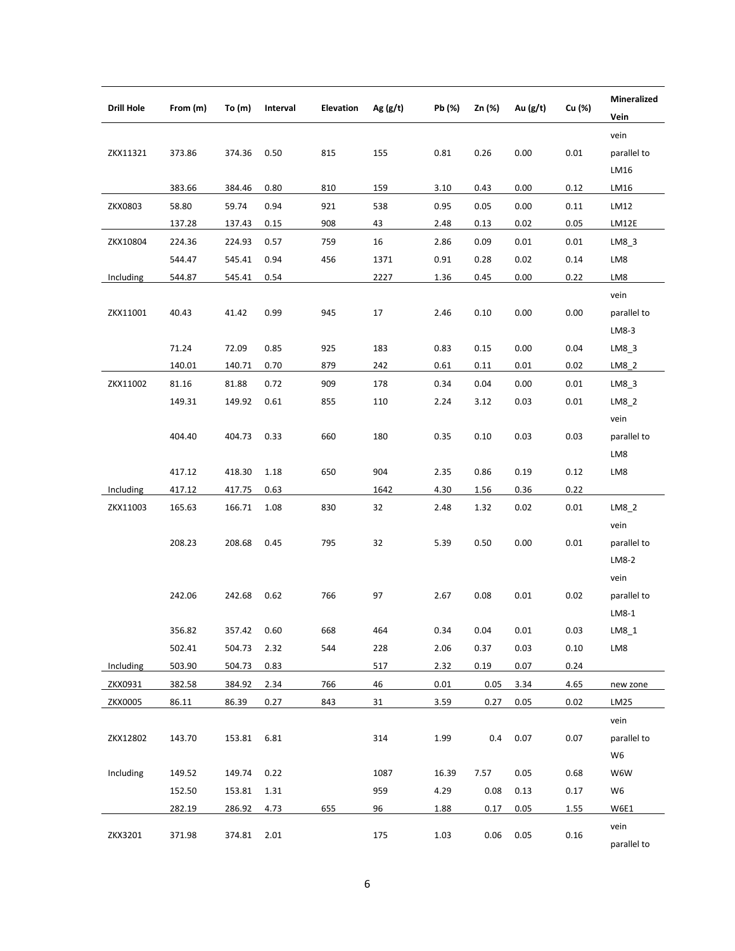| <b>Drill Hole</b> | From (m) | To $(m)$ | Interval | <b>Elevation</b> | Ag $(g/t)$ | Pb (%) | Zn (%) | Au (g/t) | Cu (%) | Mineralized<br>Vein |
|-------------------|----------|----------|----------|------------------|------------|--------|--------|----------|--------|---------------------|
|                   |          |          |          |                  |            |        |        |          |        | vein                |
| ZKX11321          | 373.86   | 374.36   | 0.50     | 815              | 155        | 0.81   | 0.26   | 0.00     | 0.01   | parallel to         |
|                   |          |          |          |                  |            |        |        |          |        | LM16                |
|                   | 383.66   | 384.46   | 0.80     | 810              | 159        | 3.10   | 0.43   | 0.00     | 0.12   | LM16                |
| ZKX0803           | 58.80    | 59.74    | 0.94     | 921              | 538        | 0.95   | 0.05   | 0.00     | 0.11   | LM12                |
|                   | 137.28   | 137.43   | 0.15     | 908              | 43         | 2.48   | 0.13   | 0.02     | 0.05   | LM12E               |
| ZKX10804          | 224.36   | 224.93   | 0.57     | 759              | 16         | 2.86   | 0.09   | 0.01     | 0.01   | $LM8_3$             |
|                   | 544.47   | 545.41   | 0.94     | 456              | 1371       | 0.91   | 0.28   | 0.02     | 0.14   | LM8                 |
| Including         | 544.87   | 545.41   | 0.54     |                  | 2227       | 1.36   | 0.45   | 0.00     | 0.22   | LM8                 |
|                   |          |          |          |                  |            |        |        |          |        | vein                |
| ZKX11001          | 40.43    | 41.42    | 0.99     | 945              | 17         | 2.46   | 0.10   | 0.00     | 0.00   | parallel to         |
|                   |          |          |          |                  |            |        |        |          |        | LM8-3               |
|                   | 71.24    | 72.09    | 0.85     | 925              | 183        | 0.83   | 0.15   | 0.00     | 0.04   | $LM8_3$             |
|                   | 140.01   | 140.71   | 0.70     | 879              | 242        | 0.61   | 0.11   | 0.01     | 0.02   | $LM8_2$             |
| ZKX11002          | 81.16    | 81.88    | 0.72     | 909              | 178        | 0.34   | 0.04   | 0.00     | 0.01   | $LM8_3$             |
|                   | 149.31   | 149.92   | 0.61     | 855              | 110        | 2.24   | 3.12   | 0.03     | 0.01   | $LM8_2$             |
|                   |          |          |          |                  |            |        |        |          |        | vein                |
|                   | 404.40   | 404.73   | 0.33     | 660              | 180        | 0.35   | 0.10   | 0.03     | 0.03   | parallel to         |
|                   |          |          |          |                  |            |        |        |          |        | LM8                 |
|                   | 417.12   | 418.30   | 1.18     | 650              | 904        | 2.35   | 0.86   | 0.19     | 0.12   | LM8                 |
| Including         | 417.12   | 417.75   | 0.63     |                  | 1642       | 4.30   | 1.56   | 0.36     | 0.22   |                     |
| ZKX11003          | 165.63   | 166.71   | 1.08     | 830              | 32         | 2.48   | 1.32   | 0.02     | 0.01   | $LM8_2$             |
|                   |          |          |          |                  |            |        |        |          |        | vein                |
|                   | 208.23   | 208.68   | 0.45     | 795              | 32         | 5.39   | 0.50   | 0.00     | 0.01   | parallel to         |
|                   |          |          |          |                  |            |        |        |          |        | LM8-2               |
|                   |          |          |          |                  |            |        |        |          |        | vein                |
|                   | 242.06   | 242.68   | 0.62     | 766              | 97         | 2.67   | 0.08   | 0.01     | 0.02   | parallel to         |
|                   |          |          |          |                  |            |        |        |          |        | LM8-1               |
|                   | 356.82   | 357.42   | 0.60     | 668              | 464        | 0.34   | 0.04   | 0.01     | 0.03   | $LM8_1$             |
|                   | 502.41   | 504.73   | 2.32     | 544              | 228        | 2.06   | 0.37   | 0.03     | 0.10   | LM8                 |
| Including         | 503.90   | 504.73   | 0.83     |                  | 517        | 2.32   | 0.19   | 0.07     | 0.24   |                     |
| ZKX0931           | 382.58   | 384.92   | 2.34     | 766              | 46         | 0.01   | 0.05   | 3.34     | 4.65   | new zone            |
| <b>ZKX0005</b>    | 86.11    | 86.39    | 0.27     | 843              | 31         | 3.59   | 0.27   | 0.05     | 0.02   | LM25                |
|                   |          |          |          |                  |            |        |        |          |        | vein                |
| ZKX12802          | 143.70   | 153.81   | 6.81     |                  | 314        | 1.99   | 0.4    | 0.07     | 0.07   | parallel to         |
|                   |          |          |          |                  |            |        |        |          |        | W6                  |
| Including         | 149.52   | 149.74   | 0.22     |                  | 1087       | 16.39  | 7.57   | 0.05     | 0.68   | W6W                 |
|                   | 152.50   | 153.81   | 1.31     |                  | 959        | 4.29   | 0.08   | 0.13     | 0.17   | W6                  |
|                   | 282.19   | 286.92   | 4.73     | 655              | 96         | 1.88   | 0.17   | 0.05     | 1.55   | W6E1                |
| ZKX3201           | 371.98   | 374.81   | 2.01     |                  | 175        | 1.03   | 0.06   | 0.05     | 0.16   | vein                |
|                   |          |          |          |                  |            |        |        |          |        | parallel to         |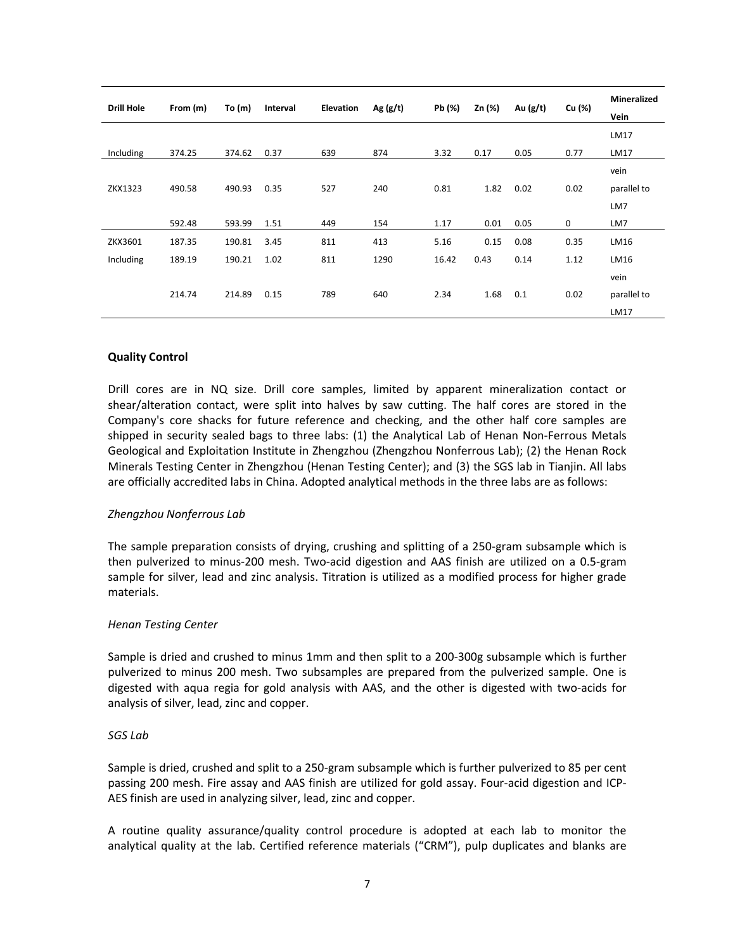| <b>Drill Hole</b> | From (m) | To $(m)$ | Interval | <b>Elevation</b> | Ag $(g/t)$ | Pb (%) | Zn (%) | Au $(g/t)$ | Cu (%) | Mineralized<br>Vein |
|-------------------|----------|----------|----------|------------------|------------|--------|--------|------------|--------|---------------------|
|                   |          |          |          |                  |            |        |        |            |        | LM17                |
| Including         | 374.25   | 374.62   | 0.37     | 639              | 874        | 3.32   | 0.17   | 0.05       | 0.77   | LM17                |
|                   |          |          |          |                  |            |        |        |            |        | vein                |
| ZKX1323           | 490.58   | 490.93   | 0.35     | 527              | 240        | 0.81   | 1.82   | 0.02       | 0.02   | parallel to         |
|                   |          |          |          |                  |            |        |        |            |        | LM7                 |
|                   | 592.48   | 593.99   | 1.51     | 449              | 154        | 1.17   | 0.01   | 0.05       | 0      | LM7                 |
| ZKX3601           | 187.35   | 190.81   | 3.45     | 811              | 413        | 5.16   | 0.15   | 0.08       | 0.35   | LM16                |
| Including         | 189.19   | 190.21   | 1.02     | 811              | 1290       | 16.42  | 0.43   | 0.14       | 1.12   | LM16                |
|                   |          |          |          |                  |            |        |        |            |        | vein                |
|                   | 214.74   | 214.89   | 0.15     | 789              | 640        | 2.34   | 1.68   | 0.1        | 0.02   | parallel to         |
|                   |          |          |          |                  |            |        |        |            |        | LM17                |

#### **Quality Control**

Drill cores are in NQ size. Drill core samples, limited by apparent mineralization contact or shear/alteration contact, were split into halves by saw cutting. The half cores are stored in the Company's core shacks for future reference and checking, and the other half core samples are shipped in security sealed bags to three labs: (1) the Analytical Lab of Henan Non-Ferrous Metals Geological and Exploitation Institute in Zhengzhou (Zhengzhou Nonferrous Lab); (2) the Henan Rock Minerals Testing Center in Zhengzhou (Henan Testing Center); and (3) the SGS lab in Tianjin. All labs are officially accredited labs in China. Adopted analytical methods in the three labs are as follows:

#### *Zhengzhou Nonferrous Lab*

The sample preparation consists of drying, crushing and splitting of a 250-gram subsample which is then pulverized to minus-200 mesh. Two-acid digestion and AAS finish are utilized on a 0.5-gram sample for silver, lead and zinc analysis. Titration is utilized as a modified process for higher grade materials.

#### *Henan Testing Center*

Sample is dried and crushed to minus 1mm and then split to a 200-300g subsample which is further pulverized to minus 200 mesh. Two subsamples are prepared from the pulverized sample. One is digested with aqua regia for gold analysis with AAS, and the other is digested with two-acids for analysis of silver, lead, zinc and copper.

#### *SGS Lab*

Sample is dried, crushed and split to a 250-gram subsample which is further pulverized to 85 per cent passing 200 mesh. Fire assay and AAS finish are utilized for gold assay. Four-acid digestion and ICP-AES finish are used in analyzing silver, lead, zinc and copper.

A routine quality assurance/quality control procedure is adopted at each lab to monitor the analytical quality at the lab. Certified reference materials ("CRM"), pulp duplicates and blanks are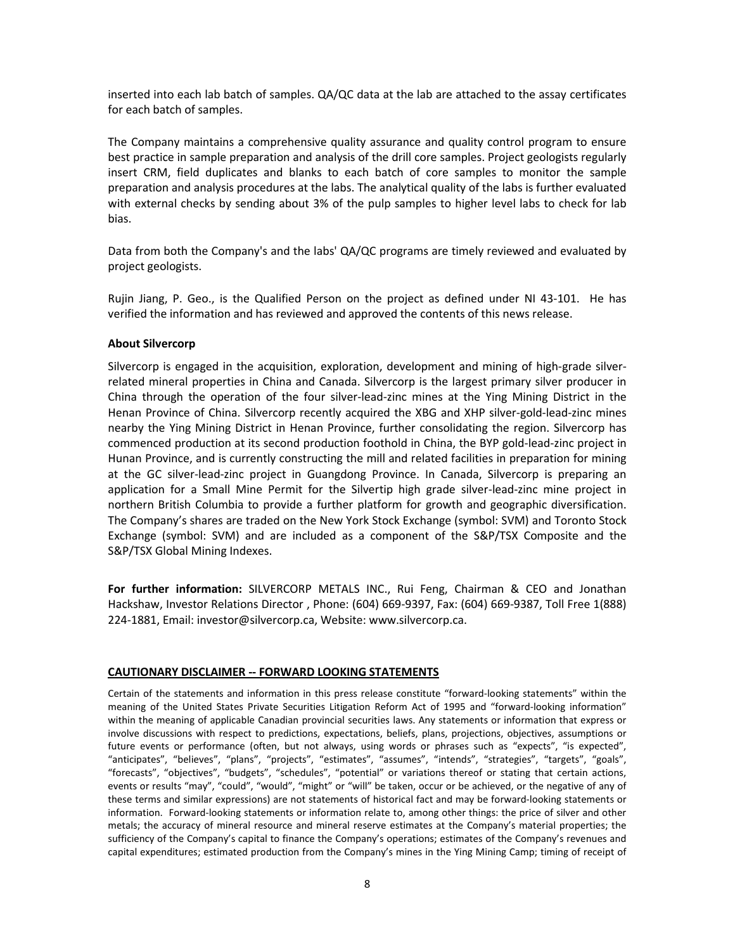inserted into each lab batch of samples. QA/QC data at the lab are attached to the assay certificates for each batch of samples.

The Company maintains a comprehensive quality assurance and quality control program to ensure best practice in sample preparation and analysis of the drill core samples. Project geologists regularly insert CRM, field duplicates and blanks to each batch of core samples to monitor the sample preparation and analysis procedures at the labs. The analytical quality of the labs is further evaluated with external checks by sending about 3% of the pulp samples to higher level labs to check for lab bias.

Data from both the Company's and the labs' QA/QC programs are timely reviewed and evaluated by project geologists.

Rujin Jiang, P. Geo., is the Qualified Person on the project as defined under NI 43-101. He has verified the information and has reviewed and approved the contents of this news release.

#### **About Silvercorp**

Silvercorp is engaged in the acquisition, exploration, development and mining of high-grade silverrelated mineral properties in China and Canada. Silvercorp is the largest primary silver producer in China through the operation of the four silver-lead-zinc mines at the Ying Mining District in the Henan Province of China. Silvercorp recently acquired the XBG and XHP silver-gold-lead-zinc mines nearby the Ying Mining District in Henan Province, further consolidating the region. Silvercorp has commenced production at its second production foothold in China, the BYP gold-lead-zinc project in Hunan Province, and is currently constructing the mill and related facilities in preparation for mining at the GC silver-lead-zinc project in Guangdong Province. In Canada, Silvercorp is preparing an application for a Small Mine Permit for the Silvertip high grade silver-lead-zinc mine project in northern British Columbia to provide a further platform for growth and geographic diversification. The Company's shares are traded on the New York Stock Exchange (symbol: SVM) and Toronto Stock Exchange (symbol: SVM) and are included as a component of the S&P/TSX Composite and the S&P/TSX Global Mining Indexes.

**For further information:** SILVERCORP METALS INC., Rui Feng, Chairman & CEO and Jonathan Hackshaw, Investor Relations Director , Phone: (604) 669-9397, Fax: (604) 669-9387, Toll Free 1(888) 224-1881, Email: investor@silvercorp.ca, Website: www.silvercorp.ca.

#### **CAUTIONARY DISCLAIMER -- FORWARD LOOKING STATEMENTS**

Certain of the statements and information in this press release constitute "forward-looking statements" within the meaning of the United States Private Securities Litigation Reform Act of 1995 and "forward-looking information" within the meaning of applicable Canadian provincial securities laws. Any statements or information that express or involve discussions with respect to predictions, expectations, beliefs, plans, projections, objectives, assumptions or future events or performance (often, but not always, using words or phrases such as "expects", "is expected", "anticipates", "believes", "plans", "projects", "estimates", "assumes", "intends", "strategies", "targets", "goals", "forecasts", "objectives", "budgets", "schedules", "potential" or variations thereof or stating that certain actions, events or results "may", "could", "would", "might" or "will" be taken, occur or be achieved, or the negative of any of these terms and similar expressions) are not statements of historical fact and may be forward-looking statements or information. Forward-looking statements or information relate to, among other things: the price of silver and other metals; the accuracy of mineral resource and mineral reserve estimates at the Company's material properties; the sufficiency of the Company's capital to finance the Company's operations; estimates of the Company's revenues and capital expenditures; estimated production from the Company's mines in the Ying Mining Camp; timing of receipt of